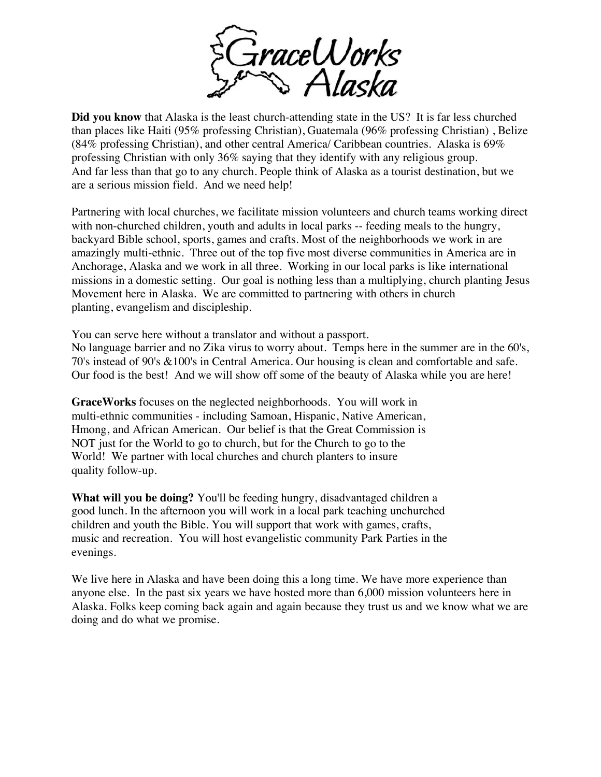

**Did you know** that Alaska is the least church-attending state in the US? It is far less churched than places like Haiti (95% professing Christian), Guatemala (96% professing Christian) , Belize (84% professing Christian), and other central America/ Caribbean countries. Alaska is 69% professing Christian with only 36% saying that they identify with any religious group. And far less than that go to any church. People think of Alaska as a tourist destination, but we are a serious mission field. And we need help!

Partnering with local churches, we facilitate mission volunteers and church teams working direct with non-churched children, youth and adults in local parks -- feeding meals to the hungry, backyard Bible school, sports, games and crafts. Most of the neighborhoods we work in are amazingly multi-ethnic. Three out of the top five most diverse communities in America are in Anchorage, Alaska and we work in all three. Working in our local parks is like international missions in a domestic setting. Our goal is nothing less than a multiplying, church planting Jesus Movement here in Alaska. We are committed to partnering with others in church planting, evangelism and discipleship.

You can serve here without a translator and without a passport.

No language barrier and no Zika virus to worry about. Temps here in the summer are in the 60's, 70's instead of 90's &100's in Central America. Our housing is clean and comfortable and safe. Our food is the best! And we will show off some of the beauty of Alaska while you are here!

**GraceWorks** focuses on the neglected neighborhoods. You will work in multi-ethnic communities - including Samoan, Hispanic, Native American, Hmong, and African American. Our belief is that the Great Commission is NOT just for the World to go to church, but for the Church to go to the World! We partner with local churches and church planters to insure quality follow-up.

**What will you be doing?** You'll be feeding hungry, disadvantaged children a good lunch. In the afternoon you will work in a local park teaching unchurched children and youth the Bible. You will support that work with games, crafts, music and recreation. You will host evangelistic community Park Parties in the evenings.

We live here in Alaska and have been doing this a long time. We have more experience than anyone else. In the past six years we have hosted more than 6,000 mission volunteers here in Alaska. Folks keep coming back again and again because they trust us and we know what we are doing and do what we promise.